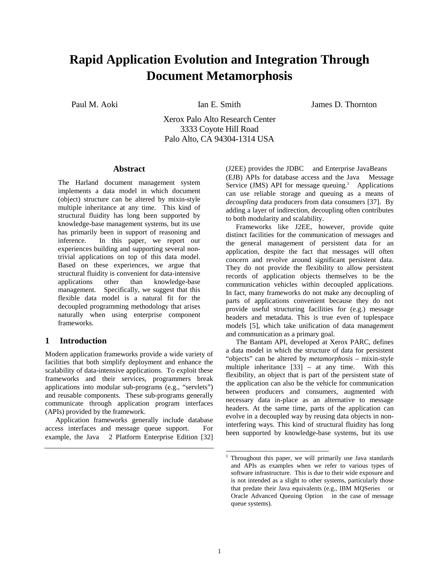# **Rapid Application Evolution and Integration Through Document Metamorphosis**

Paul M. Aoki **Ian E. Smith** James D. Thornton

Xerox Palo Alto Research Center 3333 Coyote Hill Road Palo Alto, CA 94304-1314 USA

#### **Abstract**

The Harland document management system implements a data model in which document (object) structure can be altered by mixin-style multiple inheritance at any time. This kind of structural fluidity has long been supported by knowledge-base management systems, but its use has primarily been in support of reasoning and inference. In this paper, we report our experiences building and supporting several nontrivial applications on top of this data model. Based on these experiences, we argue that structural fluidity is convenient for data-intensive applications other than knowledge-base management. Specifically, we suggest that this flexible data model is a natural fit for the decoupled programming methodology that arises naturally when using enterprise component frameworks.

## **1 Introduction**

Modern application frameworks provide a wide variety of facilities that both simplify deployment and enhance the scalability of data-intensive applications. To exploit these frameworks and their services, programmers break applications into modular sub-programs (e.g., "servlets") and reusable components. These sub-programs generally communicate through application program interfaces (APIs) provided by the framework.

Application frameworks generally include database access interfaces and message queue support. For example, the Java<sup>TM</sup> 2 Platform Enterprise Edition [32] (J2EE) provides the JDBC<sup>TM</sup> and Enterprise JavaBeans<sup>TM</sup> (EJB) APIs for database access and the Java<sup>TM</sup> Message Service (JMS) API for message queuing.<sup>1</sup> Applications can use reliable storage and queuing as a means of *decoupling* data producers from data consumers [37]. By adding a layer of indirection, decoupling often contributes to both modularity and scalability.

Frameworks like J2EE, however, provide quite distinct facilities for the communication of messages and the general management of persistent data for an application, despite the fact that messages will often concern and revolve around significant persistent data. They do not provide the flexibility to allow persistent records of application objects themselves to be the communication vehicles within decoupled applications. In fact, many frameworks do not make any decoupling of parts of applications convenient because they do not provide useful structuring facilities for (e.g.) message headers and metadata. This is true even of tuplespace models [5], which take unification of data management and communication as a primary goal.

The Bantam API, developed at Xerox PARC, defines a data model in which the structure of data for persistent "objects" can be altered by *metamorphosis* – mixin-style multiple inheritance [33] – at any time. With this flexibility, an object that is part of the persistent state of the application can also be the vehicle for communication between producers and consumers, augmented with necessary data in-place as an alternative to message headers. At the same time, parts of the application can evolve in a decoupled way by reusing data objects in noninterfering ways. This kind of structural fluidity has long been supported by knowledge-base systems, but its use

<sup>1</sup> Throughout this paper, we will primarily use Java standards and APIs as examples when we refer to various types of software infrastructure. This is due to their wide exposure and is not intended as a slight to other systems, particularly those that predate their Java equivalents (e.g., IBM MQSeries<sup>TM</sup> or Oracle Advanced Queuing Option<sup>TM</sup> in the case of message queue systems).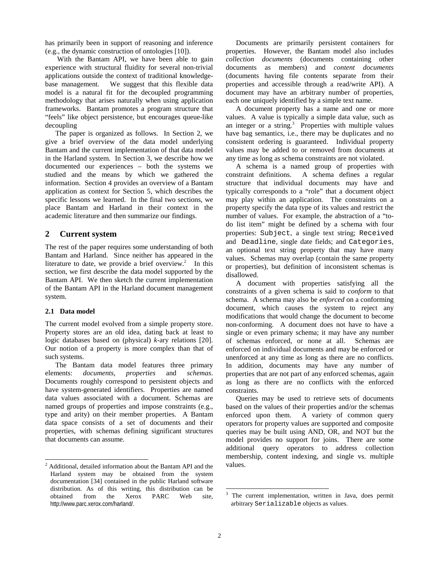has primarily been in support of reasoning and inference (e.g., the dynamic construction of ontologies [10]).

 With the Bantam API, we have been able to gain experience with structural fluidity for several non-trivial applications outside the context of traditional knowledgebase management. We suggest that this flexible data model is a natural fit for the decoupled programming methodology that arises naturally when using application frameworks. Bantam promotes a program structure that "feels" like object persistence, but encourages queue-like decoupling

The paper is organized as follows. In Section 2, we give a brief overview of the data model underlying Bantam and the current implementation of that data model in the Harland system. In Section 3, we describe how we documented our experiences – both the systems we studied and the means by which we gathered the information. Section 4 provides an overview of a Bantam application as context for Section 5, which describes the specific lessons we learned. In the final two sections, we place Bantam and Harland in their context in the academic literature and then summarize our findings.

## **2 Current system**

The rest of the paper requires some understanding of both Bantam and Harland. Since neither has appeared in the literature to date, we provide a brief overview.<sup>2</sup> In this section, we first describe the data model supported by the Bantam API. We then sketch the current implementation of the Bantam API in the Harland document management system.

#### **2.1 Data model**

The current model evolved from a simple property store. Property stores are an old idea, dating back at least to logic databases based on (physical) *k*-ary relations [20]. Our notion of a property is more complex than that of such systems.

The Bantam data model features three primary elements: *documents*, *properties* and *schemas*. Documents roughly correspond to persistent objects and have system-generated identifiers. Properties are named data values associated with a document. Schemas are named groups of properties and impose constraints (e.g., type and arity) on their member properties. A Bantam data space consists of a set of documents and their properties, with schemas defining significant structures that documents can assume.

Documents are primarily persistent containers for properties. However, the Bantam model also includes *collection documents* (documents containing other documents as members) and *content documents* (documents having file contents separate from their properties and accessible through a read/write API). A document may have an arbitrary number of properties, each one uniquely identified by a simple text name.

A document property has a name and one or more values. A value is typically a simple data value, such as an integer or a string. $3$  Properties with multiple values have bag semantics, i.e., there may be duplicates and no consistent ordering is guaranteed. Individual property values may be added to or removed from documents at any time as long as schema constraints are not violated.

A schema is a named group of properties with constraint definitions. A schema defines a regular structure that individual documents may have and typically corresponds to a "role" that a document object may play within an application. The constraints on a property specify the data type of its values and restrict the number of values. For example, the abstraction of a "todo list item" might be defined by a schema with four properties: Subject, a single text string; Received and Deadline, single date fields; and Categories, an optional text string property that may have many values. Schemas may overlap (contain the same property or properties), but definition of inconsistent schemas is disallowed.

A document with properties satisfying all the constraints of a given schema is said to *conform* to that schema. A schema may also be *enforced* on a conforming document, which causes the system to reject any modifications that would change the document to become non-conforming. A document does not have to have a single or even primary schema; it may have any number of schemas enforced, or none at all. Schemas are enforced on individual documents and may be enforced or unenforced at any time as long as there are no conflicts. In addition, documents may have any number of properties that are not part of any enforced schemas, again as long as there are no conflicts with the enforced constraints.

Queries may be used to retrieve sets of documents based on the values of their properties and/or the schemas enforced upon them. A variety of common query operators for property values are supported and composite queries may be built using AND, OR, and NOT but the model provides no support for joins. There are some additional query operators to address collection membership, content indexing, and single vs. multiple values.

<sup>&</sup>lt;sup>2</sup> Additional, detailed information about the Bantam API and the Harland system may be obtained from the system documentation [34] contained in the public Harland software distribution. As of this writing, this distribution can be obtained from the Xerox PARC Web site, http://www.parc.xerox.com/harland/.

<sup>&</sup>lt;sup>3</sup> The current implementation, written in Java, does permit arbitrary Serializable objects as values.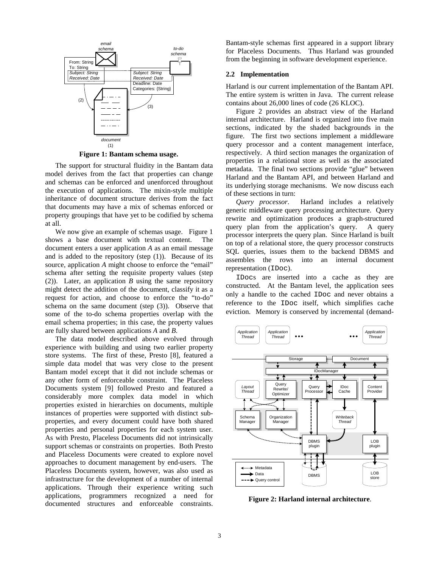

**Figure 1: Bantam schema usage.** 

The support for structural fluidity in the Bantam data model derives from the fact that properties can change and schemas can be enforced and unenforced throughout the execution of applications. The mixin-style multiple inheritance of document structure derives from the fact that documents may have a mix of schemas enforced or property groupings that have yet to be codified by schema at all.

We now give an example of schemas usage. Figure 1 shows a base document with textual content. The document enters a user application *A* as an email message and is added to the repository (step  $(1)$ ). Because of its source, application *A* might choose to enforce the "email" schema after setting the requisite property values (step (2)). Later, an application *B* using the same repository might detect the addition of the document, classify it as a request for action, and choose to enforce the "to-do" schema on the same document (step (3)). Observe that some of the to-do schema properties overlap with the email schema properties; in this case, the property values are fully shared between applications *A* and *B*.

The data model described above evolved through experience with building and using two earlier property store systems. The first of these, Presto [8], featured a simple data model that was very close to the present Bantam model except that it did not include schemas or any other form of enforceable constraint. The Placeless Documents system [9] followed Presto and featured a considerably more complex data model in which properties existed in hierarchies on documents, multiple instances of properties were supported with distinct subproperties, and every document could have both shared properties and personal properties for each system user. As with Presto, Placeless Documents did not intrinsically support schemas or constraints on properties. Both Presto and Placeless Documents were created to explore novel approaches to document management by end-users. The Placeless Documents system, however, was also used as infrastructure for the development of a number of internal applications. Through their experience writing such applications, programmers recognized a need for documented structures and enforceable constraints.

Bantam-style schemas first appeared in a support library for Placeless Documents. Thus Harland was grounded from the beginning in software development experience.

#### **2.2 Implementation**

Harland is our current implementation of the Bantam API. The entire system is written in Java. The current release contains about 26,000 lines of code (26 KLOC).

Figure 2 provides an abstract view of the Harland internal architecture. Harland is organized into five main sections, indicated by the shaded backgrounds in the figure. The first two sections implement a middleware query processor and a content management interface, respectively. A third section manages the organization of properties in a relational store as well as the associated metadata. The final two sections provide "glue" between Harland and the Bantam API, and between Harland and its underlying storage mechanisms. We now discuss each of these sections in turn:

*Query processor*. Harland includes a relatively generic middleware query processing architecture. Query rewrite and optimization produces a graph-structured query plan from the application's query. A query processor interprets the query plan. Since Harland is built on top of a relational store, the query processor constructs SQL queries, issues them to the backend DBMS and assembles the rows into an internal document representation (IDoc).

IDocs are inserted into a cache as they are constructed. At the Bantam level, the application sees only a handle to the cached IDoc and never obtains a reference to the IDoc itself, which simplifies cache eviction. Memory is conserved by incremental (demand-



**Figure 2: Harland internal architecture**.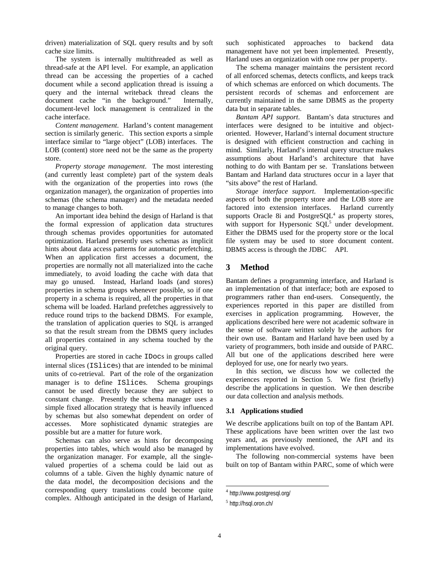driven) materialization of SQL query results and by soft cache size limits.

The system is internally multithreaded as well as thread-safe at the API level. For example, an application thread can be accessing the properties of a cached document while a second application thread is issuing a query and the internal writeback thread cleans the document cache "in the background." Internally, document-level lock management is centralized in the cache interface.

*Content management*. Harland's content management section is similarly generic. This section exports a simple interface similar to "large object" (LOB) interfaces. The LOB (content) store need not be the same as the property store.

*Property storage management*. The most interesting (and currently least complete) part of the system deals with the organization of the properties into rows (the organization manager), the organization of properties into schemas (the schema manager) and the metadata needed to manage changes to both.

An important idea behind the design of Harland is that the formal expression of application data structures through schemas provides opportunities for automated optimization. Harland presently uses schemas as implicit hints about data access patterns for automatic prefetching. When an application first accesses a document, the properties are normally not all materialized into the cache immediately, to avoid loading the cache with data that may go unused. Instead, Harland loads (and stores) properties in schema groups whenever possible, so if one property in a schema is required, all the properties in that schema will be loaded. Harland prefetches aggressively to reduce round trips to the backend DBMS. For example, the translation of application queries to SQL is arranged so that the result stream from the DBMS query includes all properties contained in any schema touched by the original query.

Properties are stored in cache IDocs in groups called internal slices (ISlices) that are intended to be minimal units of co-retrieval. Part of the role of the organization manager is to define ISlices. Schema groupings cannot be used directly because they are subject to constant change. Presently the schema manager uses a simple fixed allocation strategy that is heavily influenced by schemas but also somewhat dependent on order of accesses. More sophisticated dynamic strategies are possible but are a matter for future work.

Schemas can also serve as hints for decomposing properties into tables, which would also be managed by the organization manager. For example, all the singlevalued properties of a schema could be laid out as columns of a table. Given the highly dynamic nature of the data model, the decomposition decisions and the corresponding query translations could become quite complex. Although anticipated in the design of Harland,

such sophisticated approaches to backend data management have not yet been implemented. Presently, Harland uses an organization with one row per property.

The schema manager maintains the persistent record of all enforced schemas, detects conflicts, and keeps track of which schemas are enforced on which documents. The persistent records of schemas and enforcement are currently maintained in the same DBMS as the property data but in separate tables.

*Bantam API support*. Bantam's data structures and interfaces were designed to be intuitive and objectoriented. However, Harland's internal document structure is designed with efficient construction and caching in mind. Similarly, Harland's internal query structure makes assumptions about Harland's architecture that have nothing to do with Bantam per se. Translations between Bantam and Harland data structures occur in a layer that "sits above" the rest of Harland.

*Storage interface support*. Implementation-specific aspects of both the property store and the LOB store are factored into extension interfaces. Harland currently supports Oracle 8i and Postgre $SQL<sup>4</sup>$  as property stores, with support for Hypersonic  $SQL^5$  under development. Either the DBMS used for the property store or the local file system may be used to store document content. DBMS access is through the JDBC $TM$  API.

## **3 Method**

Bantam defines a programming interface, and Harland is an implementation of that interface; both are exposed to programmers rather than end-users. Consequently, the experiences reported in this paper are distilled from exercises in application programming. However, the applications described here were not academic software in the sense of software written solely by the authors for their own use. Bantam and Harland have been used by a variety of programmers, both inside and outside of PARC. All but one of the applications described here were deployed for use, one for nearly two years.

In this section, we discuss how we collected the experiences reported in Section 5. We first (briefly) describe the applications in question. We then describe our data collection and analysis methods.

#### **3.1 Applications studied**

We describe applications built on top of the Bantam API. These applications have been written over the last two years and, as previously mentioned, the API and its implementations have evolved.

The following non-commercial systems have been built on top of Bantam within PARC, some of which were

<sup>4</sup> http://www.postgresql.org/

<sup>5</sup> http://hsql.oron.ch/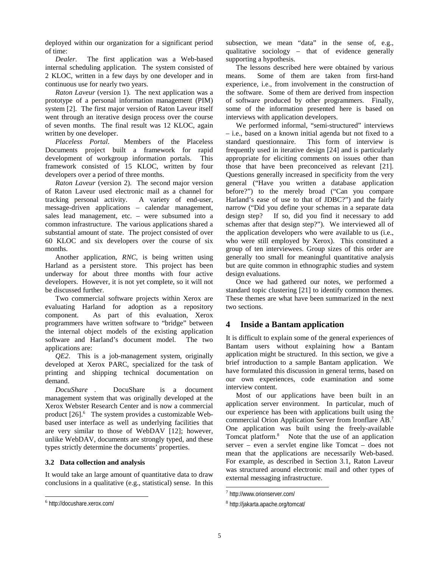deployed within our organization for a significant period of time:

*Dealer*. The first application was a Web-based internal scheduling application. The system consisted of 2 KLOC, written in a few days by one developer and in continuous use for nearly two years.

*Raton Laveur* (version 1). The next application was a prototype of a personal information management (PIM) system [2]. The first major version of Raton Laveur itself went through an iterative design process over the course of seven months. The final result was 12 KLOC, again written by one developer.

*Placeless Portal*. Members of the Placeless Documents project built a framework for rapid development of workgroup information portals. This framework consisted of 15 KLOC, written by four developers over a period of three months.

*Raton Laveur* (version 2). The second major version of Raton Laveur used electronic mail as a channel for tracking personal activity. A variety of end-user, message-driven applications – calendar management, sales lead management, etc. – were subsumed into a common infrastructure. The various applications shared a substantial amount of state. The project consisted of over 60 KLOC and six developers over the course of six months.

Another application, *RNC*, is being written using Harland as a persistent store. This project has been underway for about three months with four active developers. However, it is not yet complete, so it will not be discussed further.

Two commercial software projects within Xerox are evaluating Harland for adoption as a repository component. As part of this evaluation, Xerox programmers have written software to "bridge" between the internal object models of the existing application software and Harland's document model. The two applications are:

*QE2*. This is a job-management system, originally developed at Xerox PARC, specialized for the task of printing and shipping technical documentation on demand.

*DocuShare*<sup>™</sup>. DocuShare<sup>™</sup> is a document management system that was originally developed at the Xerox Webster Research Center and is now a commercial product  $[26]$ .<sup>6</sup> The system provides a customizable Webbased user interface as well as underlying facilities that are very similar to those of WebDAV [12]; however, unlike WebDAV, documents are strongly typed, and these types strictly determine the documents' properties.

#### **3.2 Data collection and analysis**

It would take an large amount of quantitative data to draw conclusions in a qualitative (e.g., statistical) sense. In this subsection, we mean "data" in the sense of, e.g., qualitative sociology – that of evidence generally supporting a hypothesis.

The lessons described here were obtained by various means. Some of them are taken from first-hand experience, i.e., from involvement in the construction of the software. Some of them are derived from inspection of software produced by other programmers. Finally, some of the information presented here is based on interviews with application developers.

We performed informal, "semi-structured" interviews – i.e., based on a known initial agenda but not fixed to a standard questionnaire. This form of interview is frequently used in iterative design [24] and is particularly appropriate for eliciting comments on issues other than those that have been preconceived as relevant [21]. Questions generally increased in specificity from the very general ("Have you written a database application before?") to the merely broad ("Can you compare Harland's ease of use to that of JDBC?") and the fairly narrow ("Did you define your schemas in a separate data design step? If so, did you find it necessary to add schemas after that design step?"). We interviewed all of the application developers who were available to us (i.e., who were still employed by Xerox). This constituted a group of ten interviewees. Group sizes of this order are generally too small for meaningful quantitative analysis but are quite common in ethnographic studies and system design evaluations.

Once we had gathered our notes, we performed a standard topic clustering [21] to identify common themes. These themes are what have been summarized in the next two sections.

# **4 Inside a Bantam application**

It is difficult to explain some of the general experiences of Bantam users without explaining how a Bantam application might be structured. In this section, we give a brief introduction to a sample Bantam application. We have formulated this discussion in general terms, based on our own experiences, code examination and some interview content.

Most of our applications have been built in an application server environment. In particular, much of our experience has been with applications built using the commercial Orion Application Server from Ironflare AB.7 One application was built using the freely-available Tomcat platform.<sup>8</sup> Note that the use of an application server – even a servlet engine like Tomcat – does not mean that the applications are necessarily Web-based. For example, as described in Section 3.1, Raton Laveur was structured around electronic mail and other types of external messaging infrastructure.

 $\overline{a}$ <sup>6</sup> http://docushare.xerox.com/

<sup>7</sup> http://www.orionserver.com/

<sup>8</sup> http://jakarta.apache.org/tomcat/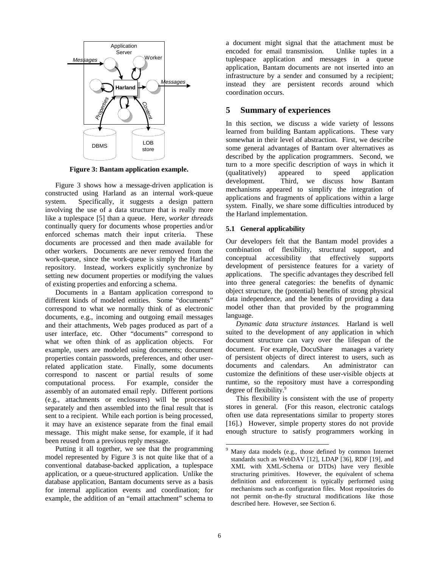

**Figure 3: Bantam application example.**

Figure 3 shows how a message-driven application is constructed using Harland as an internal work-queue system. Specifically, it suggests a design pattern involving the use of a data structure that is really more like a tuplespace [5] than a queue. Here, *worker threads* continually query for documents whose properties and/or enforced schemas match their input criteria. These documents are processed and then made available for other workers. Documents are never removed from the work-queue, since the work-queue is simply the Harland repository. Instead, workers explicitly synchronize by setting new document properties or modifying the values of existing properties and enforcing a schema.

Documents in a Bantam application correspond to different kinds of modeled entities. Some "documents" correspond to what we normally think of as electronic documents, e.g., incoming and outgoing email messages and their attachments, Web pages produced as part of a user interface, etc. Other "documents" correspond to what we often think of as application objects. For example, users are modeled using documents; document properties contain passwords, preferences, and other userrelated application state. Finally, some documents correspond to nascent or partial results of some computational process. For example, consider the assembly of an automated email reply. Different portions (e.g., attachments or enclosures) will be processed separately and then assembled into the final result that is sent to a recipient. While each portion is being processed, it may have an existence separate from the final email message. This might make sense, for example, if it had been reused from a previous reply message.

Putting it all together, we see that the programming model represented by Figure 3 is not quite like that of a conventional database-backed application, a tuplespace application, or a queue-structured application. Unlike the database application, Bantam documents serve as a basis for internal application events and coordination; for example, the addition of an "email attachment" schema to

a document might signal that the attachment must be encoded for email transmission. Unlike tuples in a tuplespace application and messages in a queue application, Bantam documents are not inserted into an infrastructure by a sender and consumed by a recipient; instead they are persistent records around which coordination occurs.

# **5 Summary of experiences**

In this section, we discuss a wide variety of lessons learned from building Bantam applications. These vary somewhat in their level of abstraction. First, we describe some general advantages of Bantam over alternatives as described by the application programmers. Second, we turn to a more specific description of ways in which it (qualitatively) appeared to speed application development. Third, we discuss how Bantam mechanisms appeared to simplify the integration of applications and fragments of applications within a large system. Finally, we share some difficulties introduced by the Harland implementation.

## **5.1 General applicability**

Our developers felt that the Bantam model provides a combination of flexibility, structural support, and conceptual accessibility that effectively supports development of persistence features for a variety of applications. The specific advantages they described fell into three general categories: the benefits of dynamic object structure, the (potential) benefits of strong physical data independence, and the benefits of providing a data model other than that provided by the programming language.

*Dynamic data structure instances*. Harland is well suited to the development of any application in which document structure can vary over the lifespan of the document. For example, DocuShare<sup>™</sup> manages a variety of persistent objects of direct interest to users, such as documents and calendars. An administrator can customize the definitions of these user-visible objects at runtime, so the repository must have a corresponding degree of flexibility.<sup>9</sup>

This flexibility is consistent with the use of property stores in general. (For this reason, electronic catalogs often use data representations similar to property stores [16].) However, simple property stores do not provide enough structure to satisfy programmers working in

<sup>9</sup> Many data models (e.g., those defined by common Internet standards such as WebDAV [12], LDAP [36], RDF [19], and XML with XML-Schema or DTDs) have very flexible structuring primitives. However, the equivalent of schema definition and enforcement is typically performed using mechanisms such as configuration files. Most repositories do not permit on-the-fly structural modifications like those described here. However, see Section 6.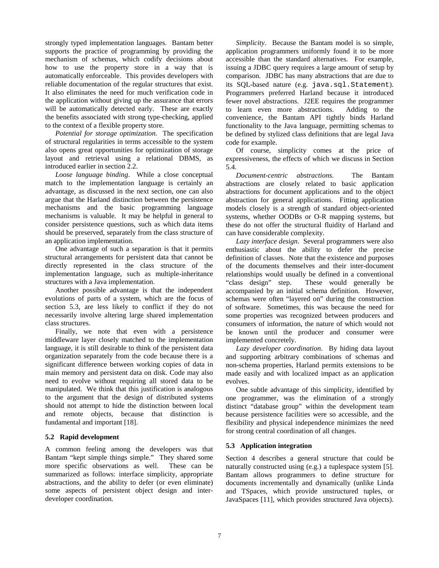strongly typed implementation languages. Bantam better supports the practice of programming by providing the mechanism of schemas, which codify decisions about how to use the property store in a way that is automatically enforceable. This provides developers with reliable documentation of the regular structures that exist. It also eliminates the need for much verification code in the application without giving up the assurance that errors will be automatically detected early. These are exactly the benefits associated with strong type-checking, applied to the context of a flexible property store.

*Potential for storage optimization*. The specification of structural regularities in terms accessible to the system also opens great opportunities for optimization of storage layout and retrieval using a relational DBMS, as introduced earlier in section 2.2.

*Loose language binding*. While a close conceptual match to the implementation language is certainly an advantage, as discussed in the next section, one can also argue that the Harland distinction between the persistence mechanisms and the basic programming language mechanisms is valuable. It may be helpful in general to consider persistence questions, such as which data items should be preserved, separately from the class structure of an application implementation.

One advantage of such a separation is that it permits structural arrangements for persistent data that cannot be directly represented in the class structure of the implementation language, such as multiple-inheritance structures with a Java implementation.

Another possible advantage is that the independent evolutions of parts of a system, which are the focus of section 5.3, are less likely to conflict if they do not necessarily involve altering large shared implementation class structures.

Finally, we note that even with a persistence middleware layer closely matched to the implementation language, it is still desirable to think of the persistent data organization separately from the code because there is a significant difference between working copies of data in main memory and persistent data on disk. Code may also need to evolve without requiring all stored data to be manipulated. We think that this justification is analogous to the argument that the design of distributed systems should not attempt to hide the distinction between local and remote objects, because that distinction is fundamental and important [18].

#### **5.2 Rapid development**

A common feeling among the developers was that Bantam "kept simple things simple." They shared some more specific observations as well. These can be summarized as follows: interface simplicity, appropriate abstractions, and the ability to defer (or even eliminate) some aspects of persistent object design and interdeveloper coordination.

*Simplicity*. Because the Bantam model is so simple, application programmers uniformly found it to be more accessible than the standard alternatives. For example, issuing a JDBC query requires a large amount of setup by comparison. JDBC has many abstractions that are due to its SQL-based nature (e.g. java.sql.Statement). Programmers preferred Harland because it introduced fewer novel abstractions. J2EE requires the programmer to learn even more abstractions. Adding to the convenience, the Bantam API tightly binds Harland functionality to the Java language, permitting schemas to be defined by stylized class definitions that are legal Java code for example.

Of course, simplicity comes at the price of expressiveness, the effects of which we discuss in Section 5.4.

*Document-centric abstractions*. The Bantam abstractions are closely related to basic application abstractions for document applications and to the object abstraction for general applications. Fitting application models closely is a strength of standard object-oriented systems, whether OODBs or O-R mapping systems, but these do not offer the structural fluidity of Harland and can have considerable complexity.

*Lazy interface design*. Several programmers were also enthusiastic about the ability to defer the precise definition of classes. Note that the existence and purposes of the documents themselves and their inter-document relationships would usually be defined in a conventional "class design" step. These would generally be accompanied by an initial schema definition. However, schemas were often "layered on" during the construction of software. Sometimes, this was because the need for some properties was recognized between producers and consumers of information, the nature of which would not be known until the producer and consumer were implemented concretely.

*Lazy developer coordination*. By hiding data layout and supporting arbitrary combinations of schemas and non-schema properties, Harland permits extensions to be made easily and with localized impact as an application evolves.

One subtle advantage of this simplicity, identified by one programmer, was the elimination of a strongly distinct "database group" within the development team because persistence facilities were so accessible, and the flexibility and physical independence minimizes the need for strong central coordination of all changes.

## **5.3 Application integration**

Section 4 describes a general structure that could be naturally constructed using (e.g.) a tuplespace system [5]. Bantam allows programmers to define structure for documents incrementally and dynamically (unlike Linda and TSpaces, which provide unstructured tuples, or JavaSpaces [11], which provides structured Java objects).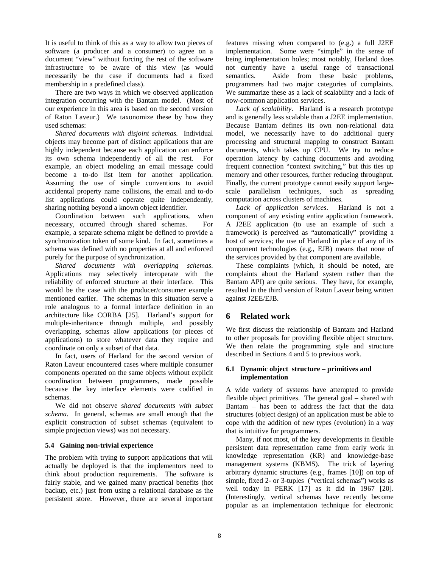It is useful to think of this as a way to allow two pieces of software (a producer and a consumer) to agree on a document "view" without forcing the rest of the software infrastructure to be aware of this view (as would necessarily be the case if documents had a fixed membership in a predefined class).

There are two ways in which we observed application integration occurring with the Bantam model. (Most of our experience in this area is based on the second version of Raton Laveur.) We taxonomize these by how they used schemas:

*Shared documents with disjoint schemas.* Individual objects may become part of distinct applications that are highly independent because each application can enforce its own schema independently of all the rest. For example, an object modeling an email message could become a to-do list item for another application. Assuming the use of simple conventions to avoid accidental property name collisions, the email and to-do list applications could operate quite independently, sharing nothing beyond a known object identifier.

Coordination between such applications, when necessary, occurred through shared schemas. For example, a separate schema might be defined to provide a synchronization token of some kind. In fact, sometimes a schema was defined with no properties at all and enforced purely for the purpose of synchronization.

*Shared documents with overlapping schemas*. Applications may selectively interoperate with the reliability of enforced structure at their interface. This would be the case with the producer/consumer example mentioned earlier. The schemas in this situation serve a role analogous to a formal interface definition in an architecture like CORBA [25]. Harland's support for multiple-inheritance through multiple, and possibly overlapping, schemas allow applications (or pieces of applications) to store whatever data they require and coordinate on only a subset of that data.

In fact, users of Harland for the second version of Raton Laveur encountered cases where multiple consumer components operated on the same objects without explicit coordination between programmers, made possible because the key interface elements were codified in schemas.

We did not observe s*hared documents with subset schema.* In general, schemas are small enough that the explicit construction of subset schemas (equivalent to simple projection views) was not necessary.

## **5.4 Gaining non-trivial experience**

The problem with trying to support applications that will actually be deployed is that the implementors need to think about production requirements. The software is fairly stable, and we gained many practical benefits (hot backup, etc.) just from using a relational database as the persistent store. However, there are several important

features missing when compared to (e.g.) a full J2EE implementation. Some were "simple" in the sense of being implementation holes; most notably, Harland does not currently have a useful range of transactional semantics. Aside from these basic problems, programmers had two major categories of complaints. We summarize these as a lack of scalability and a lack of now-common application services.

*Lack of scalability*. Harland is a research prototype and is generally less scalable than a J2EE implementation. Because Bantam defines its own non-relational data model, we necessarily have to do additional query processing and structural mapping to construct Bantam documents, which takes up CPU. We try to reduce operation latency by caching documents and avoiding frequent connection "context switching," but this ties up memory and other resources, further reducing throughput. Finally, the current prototype cannot easily support largescale parallelism techniques, such as spreading computation across clusters of machines.

*Lack of application services*. Harland is not a component of any existing entire application framework. A J2EE application (to use an example of such a framework) is perceived as "automatically" providing a host of services; the use of Harland in place of any of its component technologies (e.g., EJB) means that none of the services provided by that component are available.

These complaints (which, it should be noted, are complaints about the Harland system rather than the Bantam API) are quite serious. They have, for example, resulted in the third version of Raton Laveur being written against J2EE/EJB.

## **6 Related work**

We first discuss the relationship of Bantam and Harland to other proposals for providing flexible object structure. We then relate the programming style and structure described in Sections 4 and 5 to previous work.

#### **6.1 Dynamic object structure – primitives and implementation**

A wide variety of systems have attempted to provide flexible object primitives. The general goal – shared with Bantam – has been to address the fact that the data structures (object design) of an application must be able to cope with the addition of new types (evolution) in a way that is intuitive for programmers.

Many, if not most, of the key developments in flexible persistent data representation came from early work in knowledge representation (KR) and knowledge-base management systems (KBMS). The trick of layering arbitrary dynamic structures (e.g., frames [10]) on top of simple, fixed 2- or 3-tuples ("vertical schemas") works as well today in PERK [17] as it did in 1967 [20]. (Interestingly, vertical schemas have recently become popular as an implementation technique for electronic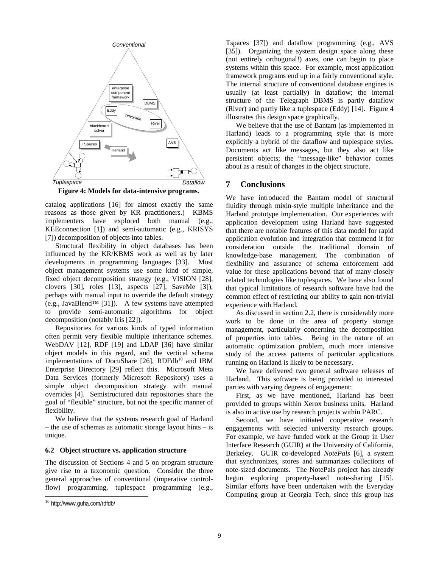

**Figure 4: Models for data-intensive programs.** 

catalog applications [16] for almost exactly the same reasons as those given by KR practitioners.) KBMS implementers have explored both manual (e.g., KEEconnection [1]) and semi-automatic (e.g., KRISYS [7]) decomposition of objects into tables.

Structural flexibility in object databases has been influenced by the KR/KBMS work as well as by later developments in programming languages [33]. Most object management systems use some kind of simple, fixed object decomposition strategy (e.g., VISION [28], clovers [30], roles [13], aspects [27], SaveMe [3]), perhaps with manual input to override the default strategy (e.g., JavaBlend™ [31]). A few systems have attempted to provide semi-automatic algorithms for object decomposition (notably Iris [22]).

Repositories for various kinds of typed information often permit very flexible multiple inheritance schemes. WebDAV [12], RDF [19] and LDAP [36] have similar object models in this regard, and the vertical schema implementations of DocuShare  $[26]$ , RDFdb<sup>10</sup> and IBM Enterprise Directory [29] reflect this. Microsoft Meta Data Services (formerly Microsoft Repository) uses a simple object decomposition strategy with manual overrides [4]. Semistructured data repositories share the goal of "flexible" structure, but not the specific manner of flexibility.

We believe that the systems research goal of Harland – the use of schemas as automatic storage layout hints – is unique.

#### **6.2 Object structure vs. application structure**

The discussion of Sections 4 and 5 on program structure give rise to a taxonomic question. Consider the three general approaches of conventional (imperative controlflow) programming, tuplespace programming (e.g.,

 $\overline{a}$ 

Tspaces [37]) and dataflow programming (e.g., AVS [35]). Organizing the system design space along these (not entirely orthogonal!) axes, one can begin to place systems within this space. For example, most application framework programs end up in a fairly conventional style. The internal structure of conventional database engines is usually (at least partially) in dataflow; the internal structure of the Telegraph DBMS is partly dataflow (River) and partly like a tuplespace (Eddy) [14]. Figure 4 illustrates this design space graphically.

We believe that the use of Bantam (as implemented in Harland) leads to a programming style that is more explicitly a hybrid of the dataflow and tuplespace styles. Documents act like messages, but they also act like persistent objects; the "message-like" behavior comes about as a result of changes in the object structure.

#### **7 Conclusions**

We have introduced the Bantam model of structural fluidity through mixin-style multiple inheritance and the Harland prototype implementation. Our experiences with application development using Harland have suggested that there are notable features of this data model for rapid application evolution and integration that commend it for consideration outside the traditional domain of knowledge-base management. The combination of flexibility and assurance of schema enforcement add value for these applications beyond that of many closely related technologies like tuplespaces. We have also found that typical limitations of research software have had the common effect of restricting our ability to gain non-trivial experience with Harland.

As discussed in section 2.2, there is considerably more work to be done in the area of property storage management, particularly concerning the decomposition of properties into tables. Being in the nature of an automatic optimization problem, much more intensive study of the access patterns of particular applications running on Harland is likely to be necessary.

We have delivered two general software releases of Harland. This software is being provided to interested parties with varying degrees of engagement:

First, as we have mentioned, Harland has been provided to groups within Xerox business units. Harland is also in active use by research projects within PARC.

Second, we have initiated cooperative research engagements with selected university research groups. For example, we have funded work at the Group in User Interface Research (GUIR) at the University of California, Berkeley. GUIR co-developed *NotePals* [6], a system that synchronizes, stores and summarizes collections of note-sized documents. The NotePals project has already begun exploring property-based note-sharing [15]. Similar efforts have been undertaken with the Everyday Computing group at Georgia Tech, since this group has

<sup>10</sup> http://www.guha.com/rdfdb/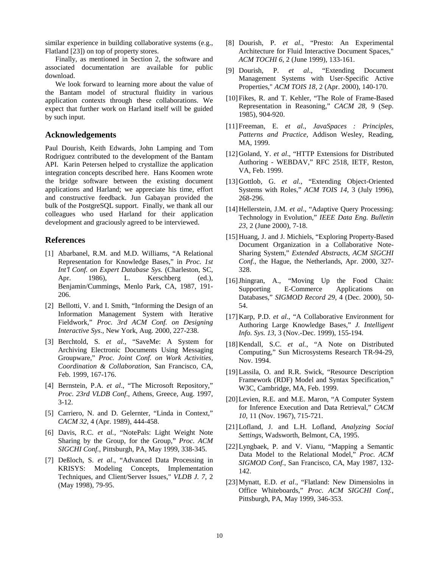similar experience in building collaborative systems (e.g., Flatland [23]) on top of property stores.

Finally, as mentioned in Section 2, the software and associated documentation are available for public download.

We look forward to learning more about the value of the Bantam model of structural fluidity in various application contexts through these collaborations. We expect that further work on Harland itself will be guided by such input.

## **Acknowledgements**

Paul Dourish, Keith Edwards, John Lamping and Tom Rodriguez contributed to the development of the Bantam API. Karin Petersen helped to crystallize the application integration concepts described here. Hans Koomen wrote the bridge software between the existing document applications and Harland; we appreciate his time, effort and constructive feedback. Jun Gabayan provided the bulk of the PostgreSQL support. Finally, we thank all our colleagues who used Harland for their application development and graciously agreed to be interviewed.

## **References**

- [1] Abarbanel, R.M. and M.D. Williams, "A Relational Representation for Knowledge Bases," in *Proc. 1st Int'l Conf. on Expert Database Sys.* (Charleston, SC, Apr. 1986), L. Kerschberg (ed.), Benjamin/Cummings, Menlo Park, CA, 1987, 191- 206.
- [2] Bellotti, V. and I. Smith, "Informing the Design of an Information Management System with Iterative Fieldwork," *Proc. 3rd ACM Conf. on Designing Interactive Sys*., New York, Aug. 2000, 227-238.
- [3] Berchtold, S. *et al*., "SaveMe: A System for Archiving Electronic Documents Using Messaging Groupware," *Proc. Joint Conf. on Work Activities, Coordination & Collaboration*, San Francisco, CA, Feb. 1999, 167-176.
- [4] Bernstein, P.A. *et al*., "The Microsoft Repository," *Proc. 23rd VLDB Conf*., Athens, Greece, Aug. 1997, 3-12.
- [5] Carriero, N. and D. Gelernter, "Linda in Context," *CACM 32*, 4 (Apr. 1989), 444-458.
- [6] Davis, R.C. *et al.*, "NotePals: Light Weight Note Sharing by the Group, for the Group," *Proc. ACM SIGCHI Conf.*, Pittsburgh, PA, May 1999, 338-345.
- [7] Deßloch, S. *et al*., "Advanced Data Processing in KRISYS: Modeling Concepts, Implementation Techniques, and Client/Server Issues," *VLDB J. 7*, 2 (May 1998), 79-95.
- [8] Dourish, P. *et al*., "Presto: An Experimental Architecture for Fluid Interactive Document Spaces," *ACM TOCHI 6*, 2 (June 1999), 133-161.
- [9] Dourish, P. *et al*., "Extending Document Management Systems with User-Specific Active Properties," *ACM TOIS 18*, 2 (Apr. 2000), 140-170.
- [10] Fikes, R. and T. Kehler, "The Role of Frame-Based Representation in Reasoning," *CACM 28*, 9 (Sep. 1985), 904-920.
- [11] Freeman, E. *et al*., *JavaSpaces: Principles, Patterns and Practice*, Addison Wesley, Reading, MA, 1999.
- [12] Goland, Y. *et al*., "HTTP Extensions for Distributed Authoring - WEBDAV," RFC 2518, IETF, Reston, VA, Feb. 1999.
- [13] Gottlob, G. *et al*., "Extending Object-Oriented Systems with Roles," *ACM TOIS 14*, 3 (July 1996), 268-296.
- [14] Hellerstein, J.M. *et al*., "Adaptive Query Processing: Technology in Evolution," *IEEE Data Eng. Bulletin 23*, 2 (June 2000), 7-18.
- [15] Huang, J. and J. Michiels, "Exploring Property-Based Document Organization in a Collaborative Note-Sharing System," *Extended Abstracts, ACM SIGCHI Conf.*, the Hague, the Netherlands, Apr. 2000, 327- 328.
- [16] Jhingran, A., "Moving Up the Food Chain: Supporting E-Commerce Applications on Databases," *SIGMOD Record 29*, 4 (Dec. 2000), 50- 54.
- [17] Karp, P.D. *et al*., "A Collaborative Environment for Authoring Large Knowledge Bases," *J. Intelligent Info. Sys. 13*, 3 (Nov.-Dec. 1999), 155-194.
- [18] Kendall, S.C. *et al.*, "A Note on Distributed Computing," Sun Microsystems Research TR-94-29, Nov. 1994.
- [19] Lassila, O. and R.R. Swick, "Resource Description Framework (RDF) Model and Syntax Specification," W3C, Cambridge, MA, Feb. 1999.
- [20] Levien, R.E. and M.E. Maron, "A Computer System for Inference Execution and Data Retrieval," *CACM 10*, 11 (Nov. 1967), 715-721.
- [21] Lofland, J. and L.H. Lofland, *Analyzing Social Settings*, Wadsworth, Belmont, CA, 1995.
- [22] Lyngbaek, P. and V. Vianu, "Mapping a Semantic Data Model to the Relational Model," *Proc. ACM SIGMOD Conf.*, San Francisco, CA, May 1987, 132- 142.
- [23] Mynatt, E.D. *et al*., "Flatland: New Dimensiolns in Office Whiteboards," *Proc. ACM SIGCHI Conf.*, Pittsburgh, PA, May 1999, 346-353.